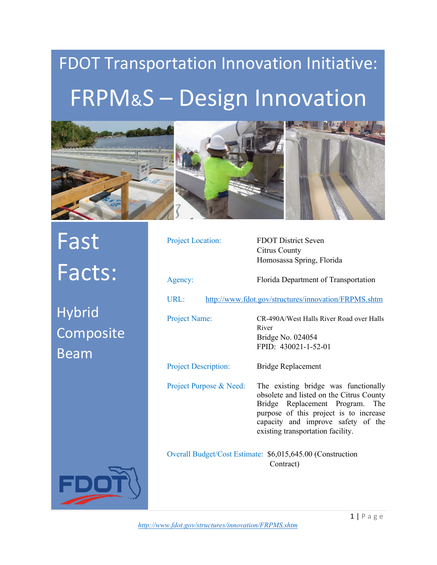## FDOT Transportation Innovation Initiative: FRPM&S – Design Innovation



Fast Facts:

Hybrid Composite Beam

FD

| Project Location:                                                       | <b>FDOT District Seven</b><br>Citrus County<br>Homosassa Spring, Florida                                                                                                                                                                    |  |
|-------------------------------------------------------------------------|---------------------------------------------------------------------------------------------------------------------------------------------------------------------------------------------------------------------------------------------|--|
| Agency:                                                                 | Florida Department of Transportation                                                                                                                                                                                                        |  |
| URL:                                                                    | http://www.fdot.gov/structures/innovation/FRPMS.shtm                                                                                                                                                                                        |  |
| <b>Project Name:</b>                                                    | CR-490A/West Halls River Road over Halls<br>River<br>Bridge No. 024054<br>FPID: 430021-1-52-01                                                                                                                                              |  |
| <b>Project Description:</b>                                             | <b>Bridge Replacement</b>                                                                                                                                                                                                                   |  |
| Project Purpose & Need:                                                 | The existing bridge was functionally<br>obsolete and listed on the Citrus County<br>Bridge Replacement Program.<br>The<br>purpose of this project is to increase<br>capacity and improve safety of the<br>existing transportation facility. |  |
| Overall Budget/Cost Estimate: \$6,015,645.00 (Construction<br>Contract) |                                                                                                                                                                                                                                             |  |